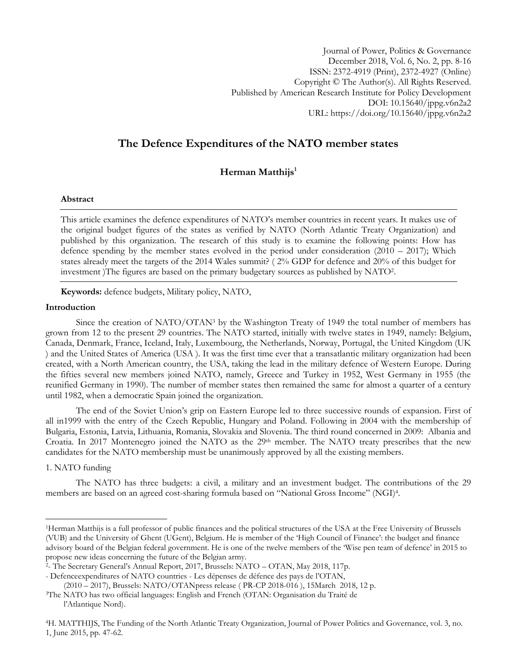Journal of Power, Politics & Governance December 2018, Vol. 6, No. 2, pp. 8-16 ISSN: 2372-4919 (Print), 2372-4927 (Online) Copyright © The Author(s). All Rights Reserved. Published by American Research Institute for Policy Development DOI: 10.15640/jppg.v6n2a2 URL: https://doi.org/10.15640/jppg.v6n2a2

# **The Defence Expenditures of the NATO member states**

**Herman Matthijs<sup>1</sup>**

## **Abstract**

This article examines the defence expenditures of NATO"s member countries in recent years. It makes use of the original budget figures of the states as verified by NATO (North Atlantic Treaty Organization) and published by this organization. The research of this study is to examine the following points: How has defence spending by the member states evolved in the period under consideration  $(2010 - 2017)$ ; Which states already meet the targets of the 2014 Wales summit? ( 2% GDP for defence and 20% of this budget for investment )The figures are based on the primary budgetary sources as published by NATO<sup>2</sup> .

**Keywords:** defence budgets, Military policy, NATO,

#### **Introduction**

Since the creation of NATO/OTAN<sup>3</sup> by the Washington Treaty of 1949 the total number of members has grown from 12 to the present 29 countries. The NATO started, initially with twelve states in 1949, namely: Belgium, Canada, Denmark, France, Iceland, Italy, Luxembourg, the Netherlands, Norway, Portugal, the United Kingdom (UK ) and the United States of America (USA ). It was the first time ever that a transatlantic military organization had been created, with a North American country, the USA, taking the lead in the military defence of Western Europe. During the fifties several new members joined NATO, namely, Greece and Turkey in 1952, West Germany in 1955 (the reunified Germany in 1990). The number of member states then remained the same for almost a quarter of a century until 1982, when a democratic Spain joined the organization.

The end of the Soviet Union"s grip on Eastern Europe led to three successive rounds of expansion. First of all in1999 with the entry of the Czech Republic, Hungary and Poland. Following in 2004 with the membership of Bulgaria, Estonia, Latvia, Lithuania, Romania, Slovakia and Slovenia. The third round concerned in 2009: Albania and Croatia. In 2017 Montenegro joined the NATO as the 29<sup>th</sup> member. The NATO treaty prescribes that the new candidates for the NATO membership must be unanimously approved by all the existing members.

## 1. NATO funding

 $\overline{a}$ 

The NATO has three budgets: a civil, a military and an investment budget. The contributions of the 29 members are based on an agreed cost-sharing formula based on "National Gross Income" (NGI)<sup>4</sup> .

<sup>1</sup>Herman Matthijs is a full professor of public finances and the political structures of the USA at the Free University of Brussels (VUB) and the University of Ghent (UGent), Belgium. He is member of the "High Council of Finance": the budget and finance advisory board of the Belgian federal government. He is one of the twelve members of the "Wise pen team of defence" in 2015 to propose new ideas concerning the future of the Belgian army.

<sup>2</sup> - The Secretary General"s Annual Report, 2017, Brussels: NATO – OTAN, May 2018, 117p.

<sup>-</sup> Defenceexpenditures of NATO countries - Les dépenses de défence des pays de l"OTAN,

<sup>(2010</sup> – 2017), Brussels: NATO/OTANpress release ( PR-CP 2018-016 ), 15March 2018, 12 p.

<sup>3</sup>The NATO has two official languages: English and French (OTAN: Organisation du Traité de l"Atlantique Nord).

<sup>4</sup>H. MATTHIJS, The Funding of the North Atlantic Treaty Organization, Journal of Power Politics and Governance, vol. 3, no. 1, June 2015, pp. 47-62.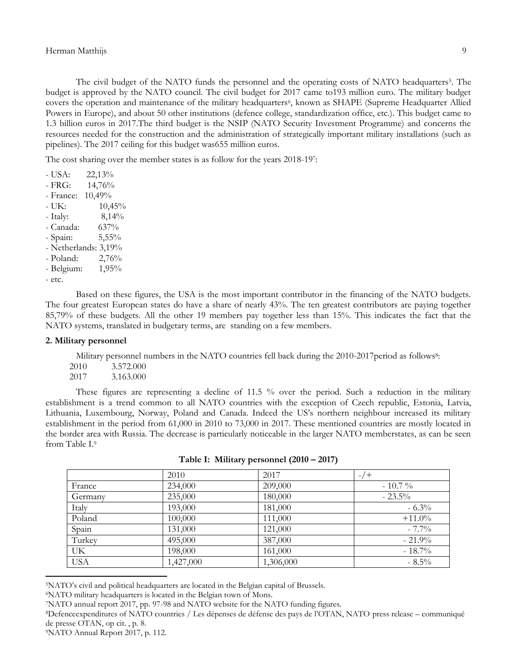The civil budget of the NATO funds the personnel and the operating costs of NATO headquarters<sup>5</sup>. The budget is approved by the NATO council. The civil budget for 2017 came to193 million euro. The military budget covers the operation and maintenance of the military headquarters<sup>6</sup>, known as SHAPE (Supreme Headquarter Allied Powers in Europe), and about 50 other institutions (defence college, standardization office, etc.). This budget came to 1.3 billion euros in 2017.The third budget is the NSIP (NATO Security Investment Programme) and concerns the resources needed for the construction and the administration of strategically important military installations (such as pipelines). The 2017 ceiling for this budget was655 million euros.

The cost sharing over the member states is as follow for the years 2018-197:

- USA: 22,13% - FRG: 14,76% - France: 10,49%  $- UK: 10,45\%$ - Italy: 8,14% - Canada: 637% - Spain: 5,55% - Netherlands: 3,19% - Poland: 2,76% - Belgium: 1,95% - etc.

Based on these figures, the USA is the most important contributor in the financing of the NATO budgets. The four greatest European states do have a share of nearly 43%. The ten greatest contributors are paying together 85,79% of these budgets. All the other 19 members pay together less than 15%. This indicates the fact that the NATO systems, translated in budgetary terms, are standing on a few members.

## **2. Military personnel**

Military personnel numbers in the NATO countries fell back during the 2010-2017 period as follows<sup>8</sup>:

2010 3.572.000 2017 3.163.000

These figures are representing a decline of 11.5 % over the period. Such a reduction in the military establishment is a trend common to all NATO countries with the exception of Czech republic, Estonia, Latvia, Lithuania, Luxembourg, Norway, Poland and Canada. Indeed the US"s northern neighbour increased its military establishment in the period from 61,000 in 2010 to 73,000 in 2017. These mentioned countries are mostly located in the border area with Russia. The decrease is particularly noticeable in the larger NATO memberstates, as can be seen from Table I.<sup>9</sup>

|            | 2010      | 2017      | ′ +       |
|------------|-----------|-----------|-----------|
| France     | 234,000   | 209,000   | $-10.7\%$ |
| Germany    | 235,000   | 180,000   | $-23.5\%$ |
| Italy      | 193,000   | 181,000   | $-6.3%$   |
| Poland     | 100,000   | 111,000   | $+11.0\%$ |
| Spain      | 131,000   | 121,000   | $-7.7\%$  |
| Turkey     | 495,000   | 387,000   | $-21.9%$  |
| UK.        | 198,000   | 161,000   | $-18.7\%$ |
| <b>USA</b> | 1,427,000 | 1,306,000 | $-8.5\%$  |

**Table I: Military personnel (2010 – 2017)**

<sup>6</sup>NATO military headquarters is located in the Belgian town of Mons.

 $\overline{\phantom{a}}$ 

<sup>5</sup>NATO"s civil and political headquarters are located in the Belgian capital of Brussels.

<sup>7</sup>NATO annual report 2017, pp. 97-98 and NATO website for the NATO funding figures.

<sup>8</sup>Defenceexpenditures of NATO countries / Les dépenses de défense des pays de l"OTAN, NATO press release – communiqué de presse OTAN, op cit. , p. 8.

<sup>9</sup>NATO Annual Report 2017, p. 112.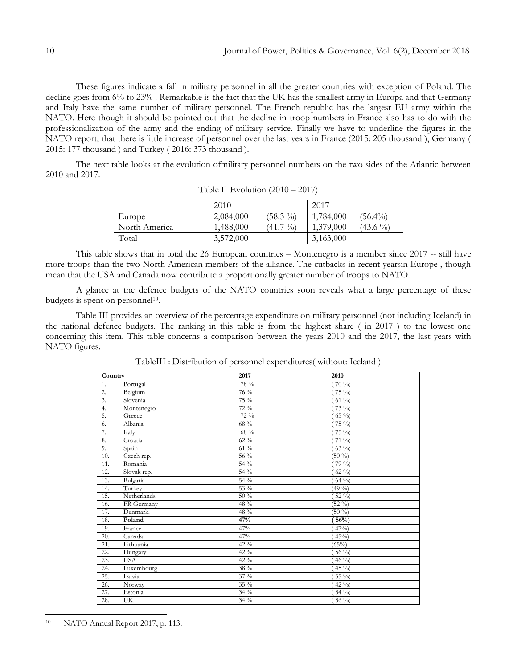These figures indicate a fall in military personnel in all the greater countries with exception of Poland. The decline goes from 6% to 23% ! Remarkable is the fact that the UK has the smallest army in Europa and that Germany and Italy have the same number of military personnel. The French republic has the largest EU army within the NATO. Here though it should be pointed out that the decline in troop numbers in France also has to do with the professionalization of the army and the ending of military service. Finally we have to underline the figures in the NATO report, that there is little increase of personnel over the last years in France (2015: 205 thousand ), Germany ( 2015: 177 thousand ) and Turkey ( 2016: 373 thousand ).

The next table looks at the evolution ofmilitary personnel numbers on the two sides of the Atlantic between 2010 and 2017.

|               | 2010      |            | 2017      |            |
|---------------|-----------|------------|-----------|------------|
| Europe        | 2,084,000 | $(58.3\%)$ | 1,784,000 | $(56.4\%)$ |
| North America | 1,488,000 | $(41.7\%)$ | 1,379,000 | $(43.6\%)$ |
| Total         | 3,572,000 |            | 3,163,000 |            |

Table II Evolution (2010 – 2017)

This table shows that in total the 26 European countries – Montenegro is a member since 2017 -- still have more troops than the two North American members of the alliance. The cutbacks in recent yearsin Europe , though mean that the USA and Canada now contribute a proportionally greater number of troops to NATO.

A glance at the defence budgets of the NATO countries soon reveals what a large percentage of these budgets is spent on personnel<sup>10</sup>.

Table III provides an overview of the percentage expenditure on military personnel (not including Iceland) in the national defence budgets. The ranking in this table is from the highest share ( in 2017 ) to the lowest one concerning this item. This table concerns a comparison between the years 2010 and the 2017, the last years with NATO figures.

| Country |             | 2017    | 2010              |
|---------|-------------|---------|-------------------|
| 1.      | Portugal    | 78 %    | $70\%$            |
| 2.      | Belgium     | 76 %    | 75 %)             |
| 3.      | Slovenia    | 75 %    | $61\%$            |
| 4.      | Montenegro  | 72 %    | $73\%$            |
| 5.      | Greece      | 72 %    | $65\%$            |
| 6.      | Albania     | 68 %    | $75\%$            |
| 7.      | Italy       | $68~\%$ | $75\%$            |
| 8.      | Croatia     | $62\%$  | $71\%$            |
| 9.      | Spain       | $61\%$  | $63\%$            |
| 10.     | Czech rep.  | 56 %    | $(50\%)$          |
| 11.     | Romania     | 54 %    | $79\%$            |
| 12.     | Slovak rep. | 54 %    | $62\%$            |
| 13.     | Bulgaria    | $54\%$  | $64\%$            |
| 14.     | Turkey      | 53 %    | $(49\%)$          |
| 15.     | Netherlands | $50\%$  | 52 %)             |
| 16.     | FR Germany  | 48 %    | $(52\frac{9}{0})$ |
| 17.     | Denmark.    | 48 %    | $(50\%)$          |
| 18.     | Poland      | 47%     | $\sqrt{56\%}$     |
| 19.     | France      | 47%     | $47\%$            |
| 20.     | Canada      | 47%     | $45\%$            |
| 21.     | Lithuania   | 42 $\%$ | (65%)             |
| 22.     | Hungary     | 42 %    | 56 $\%$           |
| 23.     | <b>USA</b>  | 42 $\%$ | 46 $\%$           |
| 24.     | Luxembourg  | 38 %    | $45\%$            |
| 25.     | Latvia      | 37 %    | 55 %)             |
| 26.     | Norway      | $35\%$  | 42 $\%$ )         |
| 27.     | Estonia     | 34 %    | $34\%$            |
| 28.     | UK          | 34 %    | $36\%$            |

TableIII : Distribution of personnel expenditures( without: Iceland )

 $\overline{\phantom{a}}$ 

<sup>10</sup> NATO Annual Report 2017, p. 113.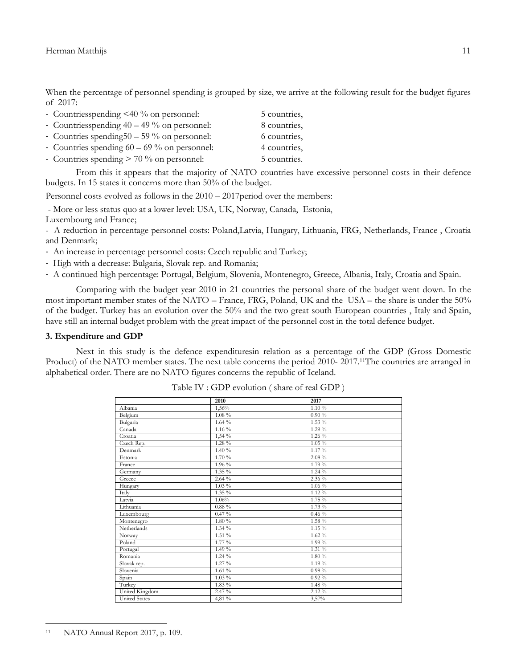When the percentage of personnel spending is grouped by size, we arrive at the following result for the budget figures of 2017:

| - Countriesspending $\leq 40\%$ on personnel:  | 5 countries, |
|------------------------------------------------|--------------|
| - Countriesspending $40 - 49\%$ on personnel:  | 8 countries, |
| - Countries spending $50 - 59$ % on personnel: | 6 countries, |
| - Countries spending $60 - 69\%$ on personnel: | 4 countries, |
| - Countries spending $> 70\%$ on personnel:    | 5 countries. |

From this it appears that the majority of NATO countries have excessive personnel costs in their defence budgets. In 15 states it concerns more than 50% of the budget.

Personnel costs evolved as follows in the  $2010 - 2017$  period over the members:

- More or less status quo at a lower level: USA, UK, Norway, Canada, Estonia,

Luxembourg and France;

- A reduction in percentage personnel costs: Poland,Latvia, Hungary, Lithuania, FRG, Netherlands, France , Croatia and Denmark;

- An increase in percentage personnel costs: Czech republic and Turkey;

- High with a decrease: Bulgaria, Slovak rep. and Romania;
- A continued high percentage: Portugal, Belgium, Slovenia, Montenegro, Greece, Albania, Italy, Croatia and Spain.

Comparing with the budget year 2010 in 21 countries the personal share of the budget went down. In the most important member states of the NATO – France, FRG, Poland, UK and the USA – the share is under the 50% of the budget. Turkey has an evolution over the 50% and the two great south European countries , Italy and Spain, have still an internal budget problem with the great impact of the personnel cost in the total defence budget.

#### **3. Expenditure and GDP**

Next in this study is the defence expendituresin relation as a percentage of the GDP (Gross Domestic Product) of the NATO member states. The next table concerns the period 2010- 2017.11The countries are arranged in alphabetical order. There are no NATO figures concerns the republic of Iceland.

|                      | 2010     | 2017     |
|----------------------|----------|----------|
| Albania              | 1,56%    | 1.10%    |
| Belgium              | $1.08\%$ | $0.90\%$ |
| Bulgaria             | $1.64\%$ | $1.53\%$ |
| Canada               | $1.16\%$ | 1.29 %   |
| Croatia              | $1,54\%$ | $1.26\%$ |
| Czech Rep.           | 1.28 %   | $1.05\%$ |
| Denmark              | 1.40 %   | 1.17%    |
| Estonia              | $1.70\%$ | $2.08\%$ |
| France               | 1.96 %   | 1.79 %   |
| Germany              | $1.35\%$ | $1.24\%$ |
| Greece               | $2.64\%$ | 2.36 %   |
| Hungary              | $1.03\%$ | $1.06\%$ |
| Italy                | $1.35\%$ | $1.12\%$ |
| Latvia               | 1.06%    | 1.75 %   |
| Lithuania            | $0.88\%$ | 1.73 %   |
| Luxembourg           | $0.47\%$ | $0.46\%$ |
| Montenegro           | $1.80\%$ | 1.58 %   |
| Netherlands          | $1.34\%$ | $1.15\%$ |
| Norway               | $1.51\%$ | $1.62\%$ |
| Poland               | 1.77 %   | 1.99%    |
| Portugal             | $1.49\%$ | 1.31 %   |
| Romania              | $1.24\%$ | 1.80 %   |
| Slovak rep.          | $1.27\%$ | $1.19\%$ |
| Slovenia             | 1.61%    | $0.98\%$ |
| Spain                | $1.03\%$ | $0.92\%$ |
| Turkey               | $1.83\%$ | 1.48 %   |
| United Kingdom       | 2.47 %   | 2.12%    |
| <b>United States</b> | 4,81 %   | 3,57%    |

Table IV : GDP evolution ( share of real GDP )

 $\overline{a}$ <sup>11</sup> NATO Annual Report 2017, p. 109.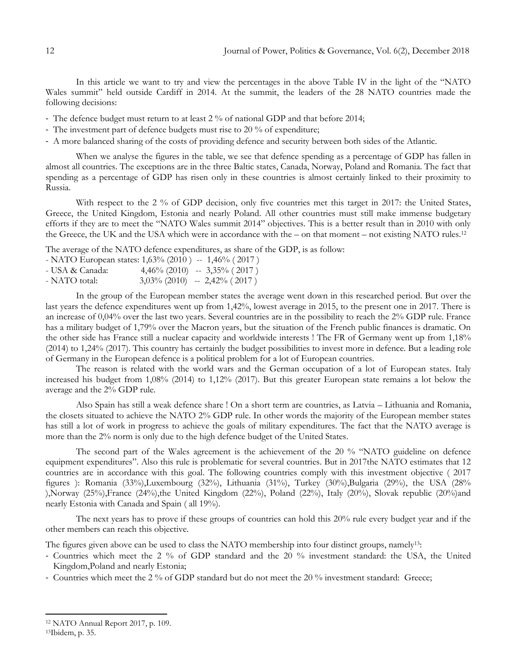In this article we want to try and view the percentages in the above Table IV in the light of the "NATO Wales summit" held outside Cardiff in 2014. At the summit, the leaders of the 28 NATO countries made the following decisions:

- The defence budget must return to at least 2 % of national GDP and that before 2014;
- The investment part of defence budgets must rise to 20 % of expenditure;
- A more balanced sharing of the costs of providing defence and security between both sides of the Atlantic.

When we analyse the figures in the table, we see that defence spending as a percentage of GDP has fallen in almost all countries. The exceptions are in the three Baltic states, Canada, Norway, Poland and Romania. The fact that spending as a percentage of GDP has risen only in these countries is almost certainly linked to their proximity to Russia.

With respect to the 2 % of GDP decision, only five countries met this target in 2017: the United States, Greece, the United Kingdom, Estonia and nearly Poland. All other countries must still make immense budgetary efforts if they are to meet the "NATO Wales summit 2014" objectives. This is a better result than in 2010 with only the Greece, the UK and the USA which were in accordance with the – on that moment – not existing NATO rules.<sup>12</sup>

The average of the NATO defence expenditures, as share of the GDP, is as follow:

| - NATO European states: $1,63\%$ (2010) -- 1,46% (2017) |  |                                 |
|---------------------------------------------------------|--|---------------------------------|
| - USA & Canada:                                         |  | $4,46\%$ (2010) -- 3,35% (2017) |
| - NATO total:                                           |  | $3,03\%$ (2010) -- 2,42% (2017) |

In the group of the European member states the average went down in this researched period. But over the last years the defence expenditures went up from 1,42%, lowest average in 2015, to the present one in 2017. There is an increase of 0,04% over the last two years. Several countries are in the possibility to reach the 2% GDP rule. France has a military budget of 1,79% over the Macron years, but the situation of the French public finances is dramatic. On the other side has France still a nuclear capacity and worldwide interests ! The FR of Germany went up from 1,18% (2014) to 1,24% (2017). This country has certainly the budget possibilities to invest more in defence. But a leading role of Germany in the European defence is a political problem for a lot of European countries.

The reason is related with the world wars and the German occupation of a lot of European states. Italy increased his budget from 1,08% (2014) to 1,12% (2017). But this greater European state remains a lot below the average and the 2% GDP rule.

Also Spain has still a weak defence share ! On a short term are countries, as Latvia – Lithuania and Romania, the closets situated to achieve the NATO 2% GDP rule. In other words the majority of the European member states has still a lot of work in progress to achieve the goals of military expenditures. The fact that the NATO average is more than the 2% norm is only due to the high defence budget of the United States.

The second part of the Wales agreement is the achievement of the 20 % "NATO guideline on defence equipment expenditures". Also this rule is problematic for several countries. But in 2017the NATO estimates that 12 countries are in accordance with this goal. The following countries comply with this investment objective ( 2017 figures ): Romania (33%),Luxembourg (32%), Lithuania (31%), Turkey (30%),Bulgaria (29%), the USA (28% ), Norway (25%), France (24%), the United Kingdom (22%), Poland (22%), Italy (20%), Slovak republic (20%) and nearly Estonia with Canada and Spain ( all 19%).

The next years has to prove if these groups of countries can hold this 20% rule every budget year and if the other members can reach this objective.

The figures given above can be used to class the NATO membership into four distinct groups, namely13:

- Countries which meet the 2 % of GDP standard and the 20 % investment standard: the USA, the United Kingdom,Poland and nearly Estonia;
- Countries which meet the 2 % of GDP standard but do not meet the 20 % investment standard: Greece;

 $\overline{\phantom{a}}$ 

<sup>13</sup>Ibidem, p. 35.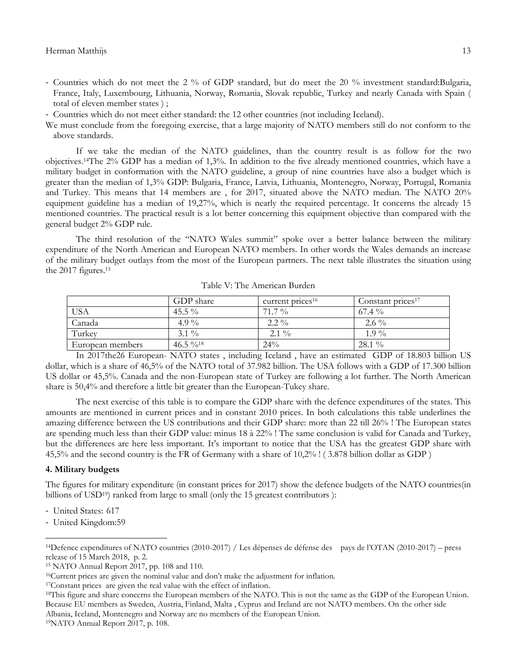- Countries which do not meet the 2 % of GDP standard, but do meet the 20 % investment standard:Bulgaria, France, Italy, Luxembourg, Lithuania, Norway, Romania, Slovak republic, Turkey and nearly Canada with Spain ( total of eleven member states ) ;
- Countries which do not meet either standard: the 12 other countries (not including Iceland).

We must conclude from the foregoing exercise, that a large majority of NATO members still do not conform to the above standards.

If we take the median of the NATO guidelines, than the country result is as follow for the two objectives.14The 2% GDP has a median of 1,3%. In addition to the five already mentioned countries, which have a military budget in conformation with the NATO guideline, a group of nine countries have also a budget which is greater than the median of 1,3% GDP: Bulgaria, France, Latvia, Lithuania, Montenegro, Norway, Portugal, Romania and Turkey. This means that 14 members are , for 2017, situated above the NATO median. The NATO 20% equipment guideline has a median of 19,27%, which is nearly the required percentage. It concerns the already 15 mentioned countries. The practical result is a lot better concerning this equipment objective than compared with the general budget 2% GDP rule.

The third resolution of the "NATO Wales summit" spoke over a better balance between the military expenditure of the North American and European NATO members. In other words the Wales demands an increase of the military budget outlays from the most of the European partners. The next table illustrates the situation using the 2017 figures.<sup>15</sup>

|                  | GDP share  | current prices <sup>16</sup> | Constant prices <sup>17</sup> |
|------------------|------------|------------------------------|-------------------------------|
| USA              | 45.5 $\%$  | $71.7\%$                     | $67.4\%$                      |
| Canada           | 4.9 %      | $2.2\%$                      | $2.6\%$                       |
| Turkey           | $3.1\%$    | $2.1\%$                      | $1.9\%$                       |
| European members | $46.5\%18$ | $24\%$                       | $28.1\%$                      |

Table V: The American Burden

In 2017the26 European- NATO states , including Iceland , have an estimated GDP of 18.803 billion US dollar, which is a share of 46,5% of the NATO total of 37.982 billion. The USA follows with a GDP of 17.300 billion US dollar or 45,5%. Canada and the non-European state of Turkey are following a lot further. The North American share is 50,4% and therefore a little bit greater than the European-Tukey share.

The next exercise of this table is to compare the GDP share with the defence expenditures of the states. This amounts are mentioned in current prices and in constant 2010 prices. In both calculations this table underlines the amazing difference between the US contributions and their GDP share: more than 22 till 26% ! The European states are spending much less than their GDP value: minus 18 à 22% ! The same conclusion is valid for Canada and Turkey, but the differences are here less important. It's important to notice that the USA has the greatest GDP share with 45,5% and the second country is the FR of Germany with a share of 10,2% ! ( 3.878 billion dollar as GDP )

#### **4. Military budgets**

The figures for military expenditure (in constant prices for 2017) show the defence budgets of the NATO countries(in billions of USD<sup>19</sup>) ranked from large to small (only the 15 greatest contributors):

- United States: 617

 $\overline{\phantom{a}}$ 

- United Kingdom:59

Albania, Iceland, Montenegro and Norway are no members of the European Union.

<sup>14</sup>Defence expenditures of NATO countries (2010-2017) / Les dépenses de défense des pays de l"OTAN (2010-2017) – press release of 15 March 2018, p. 2.

<sup>15</sup> NATO Annual Report 2017, pp. 108 and 110.

<sup>&</sup>lt;sup>16</sup>Current prices are given the nominal value and don't make the adjustment for inflation.

<sup>17</sup>Constant prices are given the real value with the effect of inflation.

<sup>&</sup>lt;sup>18</sup>This figure and share concerns the European members of the NATO. This is not the same as the GDP of the European Union. Because EU members as Sweden, Austria, Finland, Malta , Cyprus and Ireland are not NATO members. On the other side

<sup>19</sup>NATO Annual Report 2017, p. 108.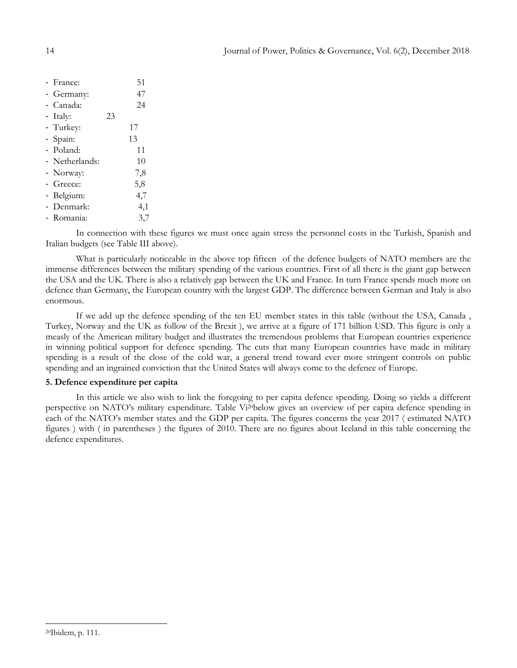| - France:      |    | 51  |
|----------------|----|-----|
| - Germany:     |    | 47  |
| - Canada:      |    | 24  |
| - Italy:       | 23 |     |
| - Turkey:      |    | 17  |
| - Spain:       |    | 13  |
| - Poland:      |    | 11  |
| - Netherlands: |    | 10  |
| - Norway:      |    | 7,8 |
| - Greece:      |    | 5,8 |
| - Belgium:     |    | 4,7 |
| - Denmark:     |    | 4,1 |
| - Romania:     |    | 3,7 |

In connection with these figures we must once again stress the personnel costs in the Turkish, Spanish and Italian budgets (see Table III above).

What is particularly noticeable in the above top fifteen of the defence budgets of NATO members are the immense differences between the military spending of the various countries. First of all there is the giant gap between the USA and the UK. There is also a relatively gap between the UK and France. In turn France spends much more on defence than Germany, the European country with the largest GDP. The difference between German and Italy is also enormous.

If we add up the defence spending of the ten EU member states in this table (without the USA, Canada , Turkey, Norway and the UK as follow of the Brexit ), we arrive at a figure of 171 billion USD. This figure is only a measly of the American military budget and illustrates the tremendous problems that European countries experience in winning political support for defence spending. The cuts that many European countries have made in military spending is a result of the close of the cold war, a general trend toward ever more stringent controls on public spending and an ingrained conviction that the United States will always come to the defence of Europe.

## **5. Defence expenditure per capita**

In this article we also wish to link the foregoing to per capita defence spending. Doing so yields a different perspective on NATO"s military expenditure. Table Vi20below gives an overview of per capita defence spending in each of the NATO"s member states and the GDP per capita. The figures concerns the year 2017 ( estimated NATO figures ) with ( in parentheses ) the figures of 2010. There are no figures about Iceland in this table concerning the defence expenditures.

 $\overline{a}$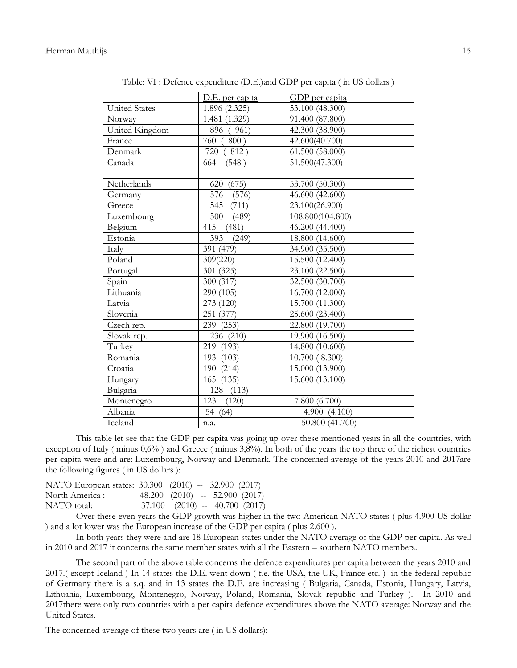|                      | D.E. per capita | GDP per capita   |
|----------------------|-----------------|------------------|
| <b>United States</b> | 1.896 (2.325)   | 53.100 (48.300)  |
| Norway               | 1.481 (1.329)   | 91.400 (87.800)  |
| United Kingdom       | 896 (961)       | 42.300 (38.900)  |
| France               | 760 (<br>800)   | 42.600(40.700)   |
| Denmark              | 720 (812)       | 61.500 (58.000)  |
| Canada               | (548)<br>664    | 51.500(47.300)   |
|                      |                 |                  |
| Netherlands          | (675)<br>620    | 53.700 (50.300)  |
| Germany              | 576<br>(576)    | 46.600 (42.600)  |
| Greece               | 545 (711)       | 23.100(26.900)   |
| Luxembourg           | 500<br>(489)    | 108.800(104.800) |
| Belgium              | 415<br>(481)    | 46.200 (44.400)  |
| Estonia              | 393<br>(249)    | 18.800 (14.600)  |
| Italy                | 391 (479)       | 34.900 (35.500)  |
| Poland               | 309(220)        | 15.500 (12.400)  |
| Portugal             | 301 (325)       | 23.100 (22.500)  |
| Spain                | 300 (317)       | 32.500 (30.700)  |
| Lithuania            | 290 (105)       | 16.700 (12.000)  |
| Latvia               | 273 (120)       | 15.700 (11.300)  |
| Slovenia             | 251 (377)       | 25.600 (23.400)  |
| Czech rep.           | 239 (253)       | 22.800 (19.700)  |
| Slovak rep.          | 236 (210)       | 19.900 (16.500)  |
| Turkey               | 219 (193)       | 14.800 (10.600)  |
| Romania              | 193 (103)       | 10.700 (8.300)   |
| Croatia              | 190 (214)       | 15.000 (13.900)  |
| Hungary              | 165<br>(135)    | 15.600 (13.100)  |
| Bulgaria             | (113)<br>128    |                  |
| Montenegro           | 123<br>(120)    | 7.800 (6.700)    |
| Albania              | 54 (64)         | 4.900 (4.100)    |
| Iceland              | n.a.            | 50.800 (41.700)  |

Table: VI : Defence expenditure (D.E.)and GDP per capita ( in US dollars )

This table let see that the GDP per capita was going up over these mentioned years in all the countries, with exception of Italy ( minus  $0.6\%$  ) and Greece ( minus 3,8%). In both of the years the top three of the richest countries per capita were and are: Luxembourg, Norway and Denmark. The concerned average of the years 2010 and 2017are the following figures ( in US dollars ):

| NATO European states: 30.300 (2010) -- 32.900 (2017) |  |                                        |
|------------------------------------------------------|--|----------------------------------------|
| North America :                                      |  | 48.200 $(2010)$ -- 52.900 $(2017)$     |
| NATO total:                                          |  | $37.100$ $(2010)$ -- $40.700$ $(2017)$ |

Over these even years the GDP growth was higher in the two American NATO states ( plus 4.900 US dollar ) and a lot lower was the European increase of the GDP per capita ( plus 2.600 ).

In both years they were and are 18 European states under the NATO average of the GDP per capita. As well in 2010 and 2017 it concerns the same member states with all the Eastern – southern NATO members.

The second part of the above table concerns the defence expenditures per capita between the years 2010 and 2017.( except Iceland ) In 14 states the D.E. went down ( f.e. the USA, the UK, France etc. ) in the federal republic of Germany there is a s.q. and in 13 states the D.E. are increasing ( Bulgaria, Canada, Estonia, Hungary, Latvia, Lithuania, Luxembourg, Montenegro, Norway, Poland, Romania, Slovak republic and Turkey ). In 2010 and 2017there were only two countries with a per capita defence expenditures above the NATO average: Norway and the United States.

The concerned average of these two years are ( in US dollars):